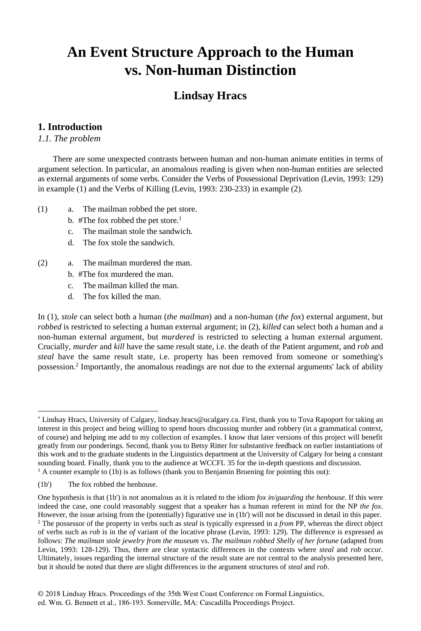## **An Event Structure Approach to the Human vs. Non-human Distinction**

## **Lindsay Hracs**

### **1. Introduction\***

*1.1. The problem*

There are some unexpected contrasts between human and non-human animate entities in terms of argument selection. In particular, an anomalous reading is given when non-human entities are selected as external arguments of some verbs. Consider the Verbs of Possessional Deprivation (Levin, 1993: 129) in example (1) and the Verbs of Killing (Levin, 1993: 230-233) in example (2).

- (1) a. The mailman robbed the pet store.
	- b. #The fox robbed the pet store.<sup>1</sup>
	- c. The mailman stole the sandwich.
	- d. The fox stole the sandwich.
- (2) a. The mailman murdered the man.
	- b. #The fox murdered the man.
	- c. The mailman killed the man.
	- d. The fox killed the man.

In (1), *stole* can select both a human (*the mailman*) and a non-human (*the fox*) external argument, but *robbed* is restricted to selecting a human external argument; in (2), *killed* can select both a human and a non-human external argument, but *murdered* is restricted to selecting a human external argument. Crucially, *murder* and *kill* have the same result state, i.e. the death of the Patient argument, and *rob* and *steal* have the same result state, i.e. property has been removed from someone or something's possession.<sup>2</sup> Importantly, the anomalous readings are not due to the external arguments' lack of ability

Lindsay Hracs, University of Calgary, lindsay.hracs@ucalgary.ca. First, thank you to Tova Rapoport for taking an interest in this project and being willing to spend hours discussing murder and robbery (in a grammatical context, of course) and helping me add to my collection of examples. I know that later versions of this project will benefit greatly from our ponderings. Second, thank you to Betsy Ritter for substantive feedback on earlier instantiations of this work and to the graduate students in the Linguistics department at the University of Calgary for being a constant sounding board. Finally, thank you to the audience at WCCFL 35 for the in-depth questions and discussion.  $<sup>1</sup>$  A counter example to (1b) is as follows (thank you to Benjamin Bruening for pointing this out):</sup>

<sup>(1</sup>b') The fox robbed the henhouse.

One hypothesis is that (1b') is not anomalous as it is related to the idiom *fox in/guarding the henhouse*. If this were indeed the case, one could reasonably suggest that a speaker has a human referent in mind for the NP *the fox*. However, the issue arising from the (potentially) figurative use in (1b') will not be discussed in detail in this paper. 2 The possessor of the property in verbs such as *steal* is typically expressed in a *from* PP, whereas the direct object of verbs such as *rob* is in the *of* variant of the locative phrase (Levin, 1993: 129). The difference is expressed as follows: *The mailman stole jewelry from the museum* vs. *The mailman robbed Shelly of her fortune* (adapted from Levin, 1993: 128-129). Thus, there are clear syntactic differences in the contexts where *steal* and *rob* occur. Ultimately, issues regarding the internal structure of the result state are not central to the analysis presented here, but it should be noted that there are slight differences in the argument structures of *steal* and *rob*.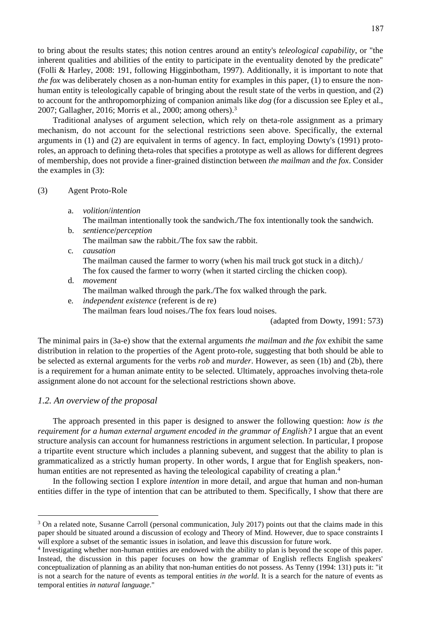to bring about the results states; this notion centres around an entity's *teleological capability*, or "the inherent qualities and abilities of the entity to participate in the eventuality denoted by the predicate" (Folli & Harley, 2008: 191, following Higginbotham, 1997). Additionally, it is important to note that *the fox* was deliberately chosen as a non-human entity for examples in this paper, (1) to ensure the nonhuman entity is teleologically capable of bringing about the result state of the verbs in question, and (2) to account for the anthropomorphizing of companion animals like *dog* (for a discussion see Epley et al., 2007; Gallagher, 2016; Morris et al., 2000; among others).3

Traditional analyses of argument selection, which rely on theta-role assignment as a primary mechanism, do not account for the selectional restrictions seen above. Specifically, the external arguments in (1) and (2) are equivalent in terms of agency. In fact, employing Dowty's (1991) protoroles, an approach to defining theta-roles that specifies a prototype as well as allows for different degrees of membership, does not provide a finer-grained distinction between *the mailman* and *the fox*. Consider the examples in (3):

#### (3) Agent Proto-Role

- a. *volition*/*intention*
	- The mailman intentionally took the sandwich./The fox intentionally took the sandwich.
- b. *sentience*/*perception* The mailman saw the rabbit./The fox saw the rabbit.
- c. *causation* The mailman caused the farmer to worry (when his mail truck got stuck in a ditch)./ The fox caused the farmer to worry (when it started circling the chicken coop).
- d. *movement* The mailman walked through the park./The fox walked through the park.
- e. *independent existence* (referent is de re) The mailman fears loud noises./The fox fears loud noises.

(adapted from Dowty, 1991: 573)

The minimal pairs in (3a-e) show that the external arguments *the mailman* and *the fox* exhibit the same distribution in relation to the properties of the Agent proto-role, suggesting that both should be able to be selected as external arguments for the verbs *rob* and *murder*. However, as seen (1b) and (2b), there is a requirement for a human animate entity to be selected. Ultimately, approaches involving theta-role assignment alone do not account for the selectional restrictions shown above.

#### *1.2. An overview of the proposal*

 $\overline{a}$ 

The approach presented in this paper is designed to answer the following question: *how is the requirement for a human external argument encoded in the grammar of English?* I argue that an event structure analysis can account for humanness restrictions in argument selection. In particular, I propose a tripartite event structure which includes a planning subevent, and suggest that the ability to plan is grammaticalized as a strictly human property. In other words, I argue that for English speakers, nonhuman entities are not represented as having the teleological capability of creating a plan.<sup>4</sup>

In the following section I explore *intention* in more detail, and argue that human and non-human entities differ in the type of intention that can be attributed to them. Specifically, I show that there are

<sup>&</sup>lt;sup>3</sup> On a related note, Susanne Carroll (personal communication, July 2017) points out that the claims made in this paper should be situated around a discussion of ecology and Theory of Mind. However, due to space constraints I will explore a subset of the semantic issues in isolation, and leave this discussion for future work.

<sup>4</sup> Investigating whether non-human entities are endowed with the ability to plan is beyond the scope of this paper. Instead, the discussion in this paper focuses on how the grammar of English reflects English speakers' conceptualization of planning as an ability that non-human entities do not possess. As Tenny (1994: 131) puts it: "it is not a search for the nature of events as temporal entities *in the world*. It is a search for the nature of events as temporal entities *in natural language*."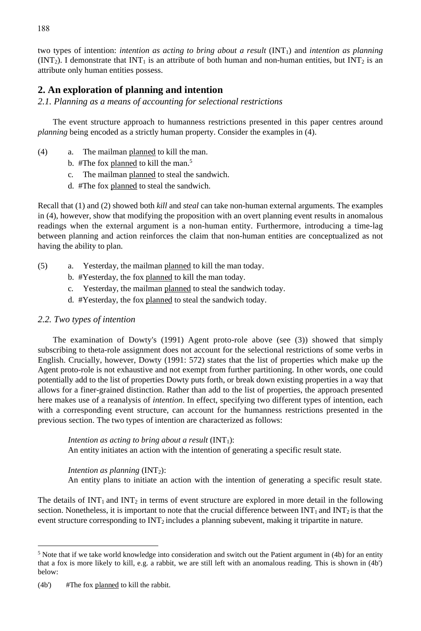two types of intention: *intention as acting to bring about a result* (INT1) and *intention as planning*  $(INT<sub>2</sub>)$ . I demonstrate that  $INT<sub>1</sub>$  is an attribute of both human and non-human entities, but  $INT<sub>2</sub>$  is an attribute only human entities possess.

## **2. An exploration of planning and intention**

*2.1. Planning as a means of accounting for selectional restrictions*

The event structure approach to humanness restrictions presented in this paper centres around *planning* being encoded as a strictly human property. Consider the examples in (4).

- (4) a. The mailman planned to kill the man.
	- b. #The fox planned to kill the man.<sup>5</sup>
	- c. The mailman planned to steal the sandwich.
	- d. #The fox planned to steal the sandwich.

Recall that (1) and (2) showed both *kill* and *steal* can take non-human external arguments. The examples in (4), however, show that modifying the proposition with an overt planning event results in anomalous readings when the external argument is a non-human entity. Furthermore, introducing a time-lag between planning and action reinforces the claim that non-human entities are conceptualized as not having the ability to plan.

- (5) a. Yesterday, the mailman planned to kill the man today.
	- b. #Yesterday, the fox planned to kill the man today.
	- c. Yesterday, the mailman planned to steal the sandwich today.
	- d. #Yesterday, the fox planned to steal the sandwich today.

#### *2.2. Two types of intention*

The examination of Dowty's (1991) Agent proto-role above (see (3)) showed that simply subscribing to theta-role assignment does not account for the selectional restrictions of some verbs in English. Crucially, however, Dowty (1991: 572) states that the list of properties which make up the Agent proto-role is not exhaustive and not exempt from further partitioning. In other words, one could potentially add to the list of properties Dowty puts forth, or break down existing properties in a way that allows for a finer-grained distinction. Rather than add to the list of properties, the approach presented here makes use of a reanalysis of *intention*. In effect, specifying two different types of intention, each with a corresponding event structure, can account for the humanness restrictions presented in the previous section. The two types of intention are characterized as follows:

*Intention as acting to bring about a result*  $(INT<sub>1</sub>):$ An entity initiates an action with the intention of generating a specific result state.

*Intention as planning* (INT<sub>2</sub>): An entity plans to initiate an action with the intention of generating a specific result state.

The details of  $INT<sub>1</sub>$  and  $INT<sub>2</sub>$  in terms of event structure are explored in more detail in the following section. Nonetheless, it is important to note that the crucial difference between  $INT<sub>1</sub>$  and  $INT<sub>2</sub>$  is that the event structure corresponding to  $INT<sub>2</sub>$  includes a planning subevent, making it tripartite in nature.

<sup>&</sup>lt;sup>5</sup> Note that if we take world knowledge into consideration and switch out the Patient argument in (4b) for an entity that a fox is more likely to kill, e.g. a rabbit, we are still left with an anomalous reading. This is shown in (4b') below:

<sup>(4</sup>b') #The fox planned to kill the rabbit.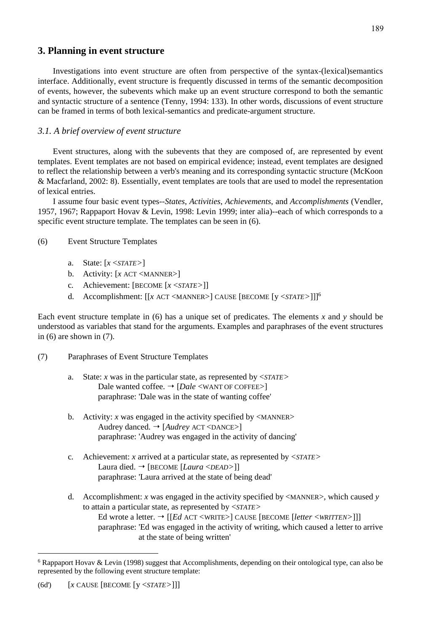#### **3. Planning in event structure**

Investigations into event structure are often from perspective of the syntax-(lexical)semantics interface. Additionally, event structure is frequently discussed in terms of the semantic decomposition of events, however, the subevents which make up an event structure correspond to both the semantic and syntactic structure of a sentence (Tenny, 1994: 133). In other words, discussions of event structure can be framed in terms of both lexical-semantics and predicate-argument structure.

#### *3.1. A brief overview of event structure*

Event structures, along with the subevents that they are composed of, are represented by event templates. Event templates are not based on empirical evidence; instead, event templates are designed to reflect the relationship between a verb's meaning and its corresponding syntactic structure (McKoon & Macfarland, 2002: 8). Essentially, event templates are tools that are used to model the representation of lexical entries.

I assume four basic event types--*States*, *Activities*, *Achievements*, and *Accomplishments* (Vendler, 1957, 1967; Rappaport Hovav & Levin, 1998: Levin 1999; inter alia)--each of which corresponds to a specific event structure template. The templates can be seen in (6).

#### (6) Event Structure Templates

- a. State: [*x* <*STATE>*]
- b. Activity: [*x* ACT <MANNER>]
- c. Achievement: [BECOME [*x* <*STATE>*]]
- d. Accomplishment: [[*x* ACT <MANNER>] CAUSE [BECOME [y <*STATE>*]]] 6

Each event structure template in (6) has a unique set of predicates. The elements *x* and *y* should be understood as variables that stand for the arguments. Examples and paraphrases of the event structures in (6) are shown in (7).

- (7) Paraphrases of Event Structure Templates
	- a. State: *x* was in the particular state, as represented by <*STATE>* Dale wanted coffee.  $\rightarrow$  [*Dale* <WANT OF COFFEE>] paraphrase: 'Dale was in the state of wanting coffee'
	- b. Activity:  $x$  was engaged in the activity specified by  $\langle$ MANNER $\rangle$ Audrey danced. → [*Audrey* ACT <DANCE>] paraphrase: 'Audrey was engaged in the activity of dancing'
	- c. Achievement: *x* arrived at a particular state, as represented by <*STATE>* Laura died. [BECOME [*Laura* <*DEAD>*]] paraphrase: 'Laura arrived at the state of being dead'
	- d. Accomplishment: *x* was engaged in the activity specified by  $\leq$ MANNER $\geq$ , which caused *y* to attain a particular state, as represented by <*STATE>* Ed wrote a letter. → [[*Ed ACT* <WRITE>] CAUSE [BECOME [*letter* <*WRITTEN*>]]] paraphrase: 'Ed was engaged in the activity of writing, which caused a letter to arrive at the state of being written'

<sup>&</sup>lt;sup>6</sup> Rappaport Hovav & Levin (1998) suggest that Accomplishments, depending on their ontological type, can also be represented by the following event structure template: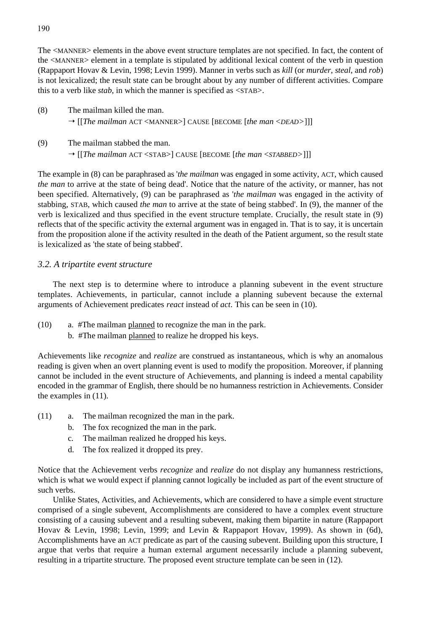The <MANNER> elements in the above event structure templates are not specified. In fact, the content of the <MANNER> element in a template is stipulated by additional lexical content of the verb in question (Rappaport Hovav & Levin, 1998; Levin 1999). Manner in verbs such as *kill* (or *murder*, *steal*, and *rob*) is not lexicalized; the result state can be brought about by any number of different activities. Compare this to a verb like *stab*, in which the manner is specified as <STAB>.

- (8) The mailman killed the man. [[*The mailman* ACT <MANNER>] CAUSE [BECOME [*the man* <*DEAD>*]]]
- (9) The mailman stabbed the man. [[*The mailman* ACT <STAB>] CAUSE [BECOME [*the man* <*STABBED>*]]]

The example in (8) can be paraphrased as '*the mailman* was engaged in some activity, ACT, which caused *the man* to arrive at the state of being dead'. Notice that the nature of the activity, or manner, has not been specified. Alternatively, (9) can be paraphrased as '*the mailman* was engaged in the activity of stabbing, STAB, which caused *the man* to arrive at the state of being stabbed'. In (9), the manner of the verb is lexicalized and thus specified in the event structure template. Crucially, the result state in (9) reflects that of the specific activity the external argument was in engaged in. That is to say, it is uncertain from the proposition alone if the activity resulted in the death of the Patient argument, so the result state is lexicalized as 'the state of being stabbed'.

#### *3.2. A tripartite event structure*

The next step is to determine where to introduce a planning subevent in the event structure templates. Achievements, in particular, cannot include a planning subevent because the external arguments of Achievement predicates *react* instead of *act*. This can be seen in (10).

- (10) a. #The mailman planned to recognize the man in the park.
	- b. #The mailman planned to realize he dropped his keys.

Achievements like *recognize* and *realize* are construed as instantaneous, which is why an anomalous reading is given when an overt planning event is used to modify the proposition. Moreover, if planning cannot be included in the event structure of Achievements, and planning is indeed a mental capability encoded in the grammar of English, there should be no humanness restriction in Achievements. Consider the examples in (11).

- (11) a. The mailman recognized the man in the park.
	- b. The fox recognized the man in the park.
	- c. The mailman realized he dropped his keys.
	- d. The fox realized it dropped its prey.

Notice that the Achievement verbs *recognize* and *realize* do not display any humanness restrictions, which is what we would expect if planning cannot logically be included as part of the event structure of such verbs.

Unlike States, Activities, and Achievements, which are considered to have a simple event structure comprised of a single subevent, Accomplishments are considered to have a complex event structure consisting of a causing subevent and a resulting subevent, making them bipartite in nature (Rappaport Hovav & Levin, 1998; Levin, 1999; and Levin & Rappaport Hovav, 1999). As shown in (6d), Accomplishments have an ACT predicate as part of the causing subevent. Building upon this structure, I argue that verbs that require a human external argument necessarily include a planning subevent, resulting in a tripartite structure. The proposed event structure template can be seen in (12).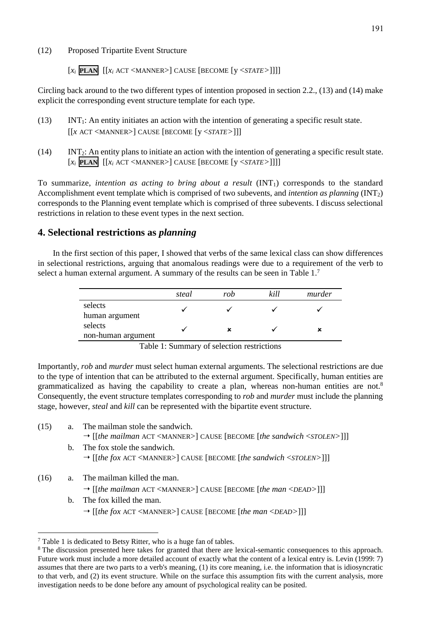#### (12) Proposed Tripartite Event Structure

[*xi* **PLAN**[[*xi* ACT <MANNER>] CAUSE [BECOME [y <*STATE>*]]]]

Circling back around to the two different types of intention proposed in section 2.2., (13) and (14) make explicit the corresponding event structure template for each type.

- (13) INT1: An entity initiates an action with the intention of generating a specific result state. [[*x* ACT <MANNER>] CAUSE [BECOME [y <*STATE>*]]]
- (14) INT2: An entity plans to initiate an action with the intention of generating a specific result state. [*xi* **PLAN**[[*xi* ACT <MANNER>] CAUSE [BECOME [y <*STATE>*]]]]

To summarize, *intention as acting to bring about a result* (INT1) corresponds to the standard Accomplishment event template which is comprised of two subevents, and *intention as planning* (INT2) corresponds to the Planning event template which is comprised of three subevents. I discuss selectional restrictions in relation to these event types in the next section.

#### **4. Selectional restrictions as** *planning*

In the first section of this paper, I showed that verbs of the same lexical class can show differences in selectional restrictions, arguing that anomalous readings were due to a requirement of the verb to select a human external argument. A summary of the results can be seen in Table  $1<sup>7</sup>$ 

|                               | steal | rob | kill | murder |
|-------------------------------|-------|-----|------|--------|
| selects<br>human argument     |       |     |      |        |
| selects<br>non-human argument |       |     |      |        |

Table 1: Summary of selection restrictions

Importantly, *rob* and *murder* must select human external arguments. The selectional restrictions are due to the type of intention that can be attributed to the external argument. Specifically, human entities are grammaticalized as having the capability to create a plan, whereas non-human entities are not.<sup>8</sup> Consequently, the event structure templates corresponding to *rob* and *murder* must include the planning stage, however, *steal* and *kill* can be represented with the bipartite event structure.

- (15) a. The mailman stole the sandwich.
	- [[*the mailman* ACT <MANNER>] CAUSE [BECOME [*the sandwich* <*STOLEN>*]]]
	- b. The fox stole the sandwich. [[*the fox* ACT <MANNER>] CAUSE [BECOME [*the sandwich* <*STOLEN>*]]]
- (16) a. The mailman killed the man.

- [[*the mailman* ACT <MANNER>] CAUSE [BECOME [*the man* <*DEAD>*]]]
- b. The fox killed the man. [[*the fox* ACT <MANNER>] CAUSE [BECOME [*the man* <*DEAD>*]]]

<sup>7</sup> Table 1 is dedicated to Betsy Ritter, who is a huge fan of tables.

<sup>&</sup>lt;sup>8</sup> The discussion presented here takes for granted that there are lexical-semantic consequences to this approach. Future work must include a more detailed account of exactly what the content of a lexical entry is. Levin (1999: 7) assumes that there are two parts to a verb's meaning, (1) its core meaning, i.e. the information that is idiosyncratic to that verb, and (2) its event structure. While on the surface this assumption fits with the current analysis, more investigation needs to be done before any amount of psychological reality can be posited.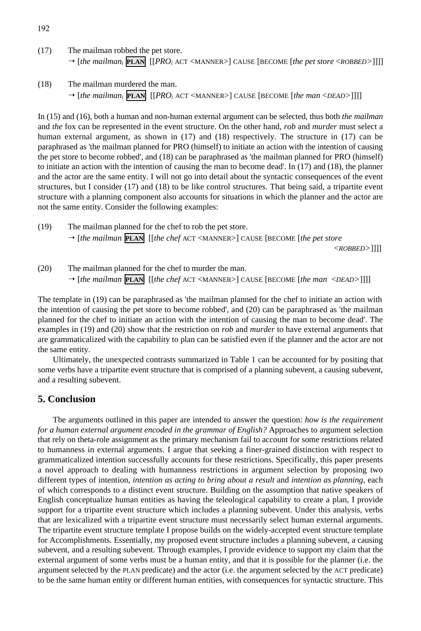- 192
- (17) The mailman robbed the pet store. [*the mailmani* **PLAN**[[*PROi* ACT <MANNER>] CAUSE [BECOME [*the pet store* <*ROBBED>*]]]]
- (18) The mailman murdered the man. [*the mailmani* **PLAN**[[*PROi* ACT <MANNER>] CAUSE [BECOME [*the man* <*DEAD>*]]]]

In (15) and (16), both a human and non-human external argument can be selected, thus both *the mailman* and *the* fox can be represented in the event structure. On the other hand, *rob* and *murder* must select a human external argument, as shown in  $(17)$  and  $(18)$  respectively. The structure in  $(17)$  can be paraphrased as 'the mailman planned for PRO (himself) to initiate an action with the intention of causing the pet store to become robbed', and (18) can be paraphrased as 'the mailman planned for PRO (himself) to initiate an action with the intention of causing the man to become dead'. In (17) and (18), the planner and the actor are the same entity. I will not go into detail about the syntactic consequences of the event structures, but I consider (17) and (18) to be like control structures. That being said, a tripartite event structure with a planning component also accounts for situations in which the planner and the actor are not the same entity. Consider the following examples:

(19) The mailman planned for the chef to rob the pet store. [*the mailman* **PLAN**[[*the chef* ACT <MANNER>] CAUSE [BECOME [*the pet store* 

<*ROBBED>*]]]]

(20) The mailman planned for the chef to murder the man. [*the mailman* **PLAN**[[*the chef* ACT <MANNER>] CAUSE [BECOME [*the man* <*DEAD>*]]]]

The template in (19) can be paraphrased as 'the mailman planned for the chef to initiate an action with the intention of causing the pet store to become robbed', and (20) can be paraphrased as 'the mailman planned for the chef to initiate an action with the intention of causing the man to become dead'. The examples in (19) and (20) show that the restriction on *rob* and *murder* to have external arguments that are grammaticalized with the capability to plan can be satisfied even if the planner and the actor are not the same entity.

Ultimately, the unexpected contrasts summarized in Table 1 can be accounted for by positing that some verbs have a tripartite event structure that is comprised of a planning subevent, a causing subevent, and a resulting subevent.

#### **5. Conclusion**

The arguments outlined in this paper are intended to answer the question: *how is the requirement for a human external argument encoded in the grammar of English?* Approaches to argument selection that rely on theta-role assignment as the primary mechanism fail to account for some restrictions related to humanness in external arguments. I argue that seeking a finer-grained distinction with respect to grammaticalized intention successfully accounts for these restrictions. Specifically, this paper presents a novel approach to dealing with humanness restrictions in argument selection by proposing two different types of intention, *intention as acting to bring about a result* and *intention as planning*, each of which corresponds to a distinct event structure. Building on the assumption that native speakers of English conceptualize human entities as having the teleological capability to create a plan, I provide support for a tripartite event structure which includes a planning subevent. Under this analysis, verbs that are lexicalized with a tripartite event structure must necessarily select human external arguments. The tripartite event structure template I propose builds on the widely-accepted event structure template for Accomplishments. Essentially, my proposed event structure includes a planning subevent, a causing subevent, and a resulting subevent. Through examples, I provide evidence to support my claim that the external argument of some verbs must be a human entity, and that it is possible for the planner (i.e. the argument selected by the PLAN predicate) and the actor (i.e. the argument selected by the ACT predicate) to be the same human entity or different human entities, with consequences for syntactic structure. This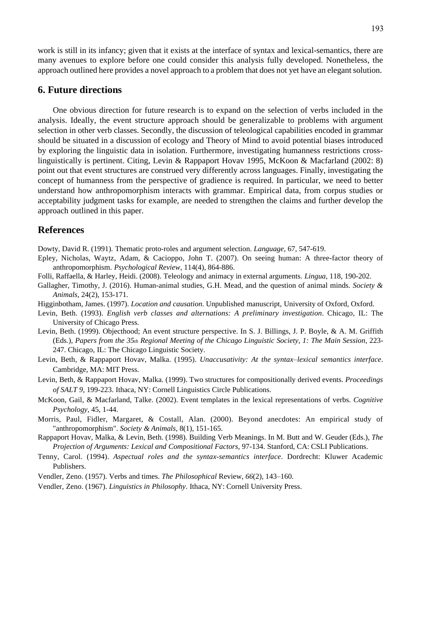work is still in its infancy; given that it exists at the interface of syntax and lexical-semantics, there are many avenues to explore before one could consider this analysis fully developed. Nonetheless, the approach outlined here provides a novel approach to a problem that does not yet have an elegantsolution.

#### **6. Future directions**

One obvious direction for future research is to expand on the selection of verbs included in the analysis. Ideally, the event structure approach should be generalizable to problems with argument selection in other verb classes. Secondly, the discussion of teleological capabilities encoded in grammar should be situated in a discussion of ecology and Theory of Mind to avoid potential biases introduced by exploring the linguistic data in isolation. Furthermore, investigating humanness restrictions crosslinguistically is pertinent. Citing, Levin & Rappaport Hovav 1995, McKoon & Macfarland (2002: 8) point out that event structures are construed very differently across languages. Finally, investigating the concept of humanness from the perspective of gradience is required. In particular, we need to better understand how anthropomorphism interacts with grammar. Empirical data, from corpus studies or acceptability judgment tasks for example, are needed to strengthen the claims and further develop the approach outlined in this paper.

#### **References**

Dowty, David R. (1991). Thematic proto-roles and argument selection. *Language*, 67, 547-619.

- Epley, Nicholas, Waytz, Adam, & Cacioppo, John T. (2007). On seeing human: A three-factor theory of anthropomorphism. *Psychological Review*, 114(4), 864-886.
- Folli, Raffaella, & Harley, Heidi. (2008). Teleology and animacy in external arguments. *Lingua*, 118, 190-202.
- Gallagher, Timothy, J. (2016). Human-animal studies, G.H. Mead, and the question of animal minds. *Society & Animals*, 24(2), 153-171.
- Higginbotham, James. (1997). *Location and causation*. Unpublished manuscript, University of Oxford, Oxford.
- Levin, Beth. (1993). *English verb classes and alternations: A preliminary investigation*. Chicago, IL: The University of Chicago Press.
- Levin, Beth. (1999). Objecthood; An event structure perspective. In S. J. Billings, J. P. Boyle, & A. M. Griffith (Eds.), *Papers from the 35th Regional Meeting of the Chicago Linguistic Society, 1: The Main Session*, 223- 247. Chicago, IL: The Chicago Linguistic Society.
- Levin, Beth, & Rappaport Hovav, Malka. (1995). *Unaccusativity: At the syntax–lexical semantics interface*. Cambridge, MA: MIT Press.
- Levin, Beth, & Rappaport Hovav, Malka. (1999). Two structures for compositionally derived events. *Proceedings of SALT 9,* 199-223. Ithaca, NY: Cornell Linguistics Circle Publications.
- McKoon, Gail, & Macfarland, Talke. (2002). Event templates in the lexical representations of verbs. *Cognitive Psychology*, 45, 1-44.
- Morris, Paul, Fidler, Margaret, & Costall, Alan. (2000). Beyond anecdotes: An empirical study of "anthropomorphism". *Society & Animals*, 8(1), 151-165.
- Rappaport Hovav, Malka, & Levin, Beth. (1998). Building Verb Meanings. In M. Butt and W. Geuder (Eds.), *The Projection of Arguments: Lexical and Compositional Factors,* 97-134. Stanford, CA: CSLI Publications.
- Tenny, Carol. (1994). *Aspectual roles and the syntax-semantics interface*. Dordrecht: Kluwer Academic Publishers.
- Vendler, Zeno. (1957). Verbs and times. *The Philosophical* Review, *66*(2), 143–160.
- Vendler, Zeno. (1967). *Linguistics in Philosophy*. Ithaca, NY: Cornell University Press.